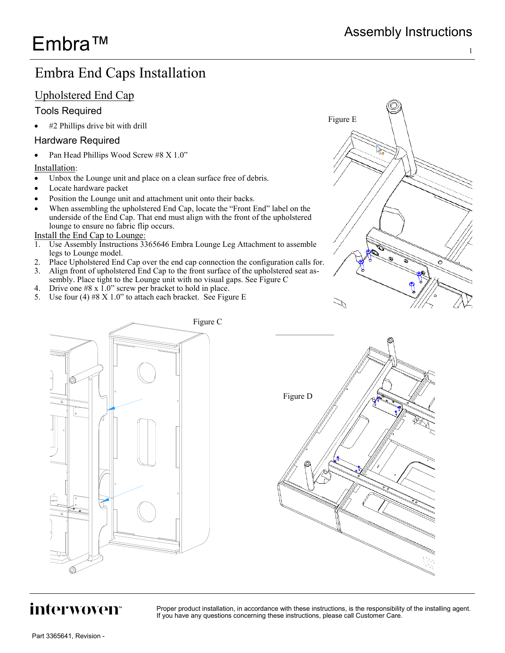# Embra End Caps Installation

## Upholstered End Cap

## Tools Required

#2 Phillips drive bit with drill

### Hardware Required

• Pan Head Phillips Wood Screw #8 X 1.0"

### Installation:

- Unbox the Lounge unit and place on a clean surface free of debris.
- Locate hardware packet
- Position the Lounge unit and attachment unit onto their backs.
- When assembling the upholstered End Cap, locate the "Front End" label on the underside of the End Cap. That end must align with the front of the upholstered lounge to ensure no fabric flip occurs.

#### Install the End Cap to Lounge:

- 1. Use Assembly Instructions 3365646 Embra Lounge Leg Attachment to assemble legs to Lounge model.
- 2. Place Upholstered End Cap over the end cap connection the configuration calls for.
- 3. Align front of upholstered End Cap to the front surface of the upholstered seat assembly. Place tight to the Lounge unit with no visual gaps. See Figure C
- 4. Drive one #8 x 1.0" screw per bracket to hold in place.
- 5. Use four (4)  $#8 X 1.0"$  to attach each bracket. See Figure E







# interwoven<sup>®</sup>

Proper product installation, in accordance with these instructions, is the responsibility of the installing agent. If you have any questions concerning these instructions, please call Customer Care.

1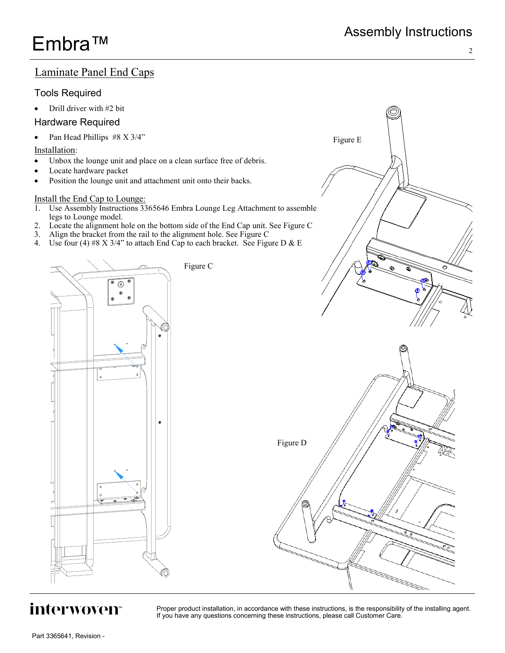# Assembly Instructions

Figure E

 $\mathfrak{D}$ 

## Laminate Panel End Caps

## Tools Required

Drill driver with #2 bit

### Hardware Required

• Pan Head Phillips #8 X 3/4"

### Installation:

- Unbox the lounge unit and place on a clean surface free of debris.
- Locate hardware packet
- Position the lounge unit and attachment unit onto their backs.

### Install the End Cap to Lounge:

- 1. Use Assembly Instructions 3365646 Embra Lounge Leg Attachment to assemble legs to Lounge model.
- 2. Locate the alignment hole on the bottom side of the End Cap unit. See Figure C
- 3. Align the bracket from the rail to the alignment hole. See Figure C
- 4. Use four (4) #8 X 3/4" to attach End Cap to each bracket. See Figure D & E



# interwoven<sup>®</sup>

Proper product installation, in accordance with these instructions, is the responsibility of the installing agent. If you have any questions concerning these instructions, please call Customer Care.